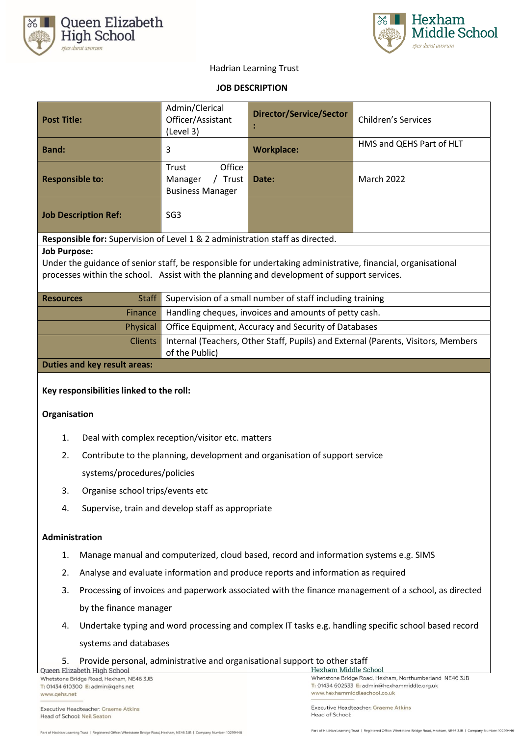



# Hadrian Learning Trust

## **JOB DESCRIPTION**

| <b>Post Title:</b>                                                                                           | Admin/Clerical<br>Officer/Assistant<br>(Level 3)                                                    | <b>Director/Service/Sector</b> | <b>Children's Services</b> |  |  |
|--------------------------------------------------------------------------------------------------------------|-----------------------------------------------------------------------------------------------------|--------------------------------|----------------------------|--|--|
| <b>Band:</b>                                                                                                 | 3                                                                                                   | <b>Workplace:</b>              | HMS and QEHS Part of HLT   |  |  |
| <b>Responsible to:</b>                                                                                       | Office<br>Trust<br>/ Trust<br>Manager<br><b>Business Manager</b>                                    | Date:                          | <b>March 2022</b>          |  |  |
| <b>Job Description Ref:</b>                                                                                  | SG3                                                                                                 |                                |                            |  |  |
| Responsible for: Supervision of Level 1 & 2 administration staff as directed.                                |                                                                                                     |                                |                            |  |  |
| <b>Job Purpose:</b>                                                                                          |                                                                                                     |                                |                            |  |  |
| Under the guidance of senior staff, be responsible for undertaking administrative, financial, organisational |                                                                                                     |                                |                            |  |  |
| processes within the school. Assist with the planning and development of support services.                   |                                                                                                     |                                |                            |  |  |
| <b>Staff</b><br><b>Resources</b>                                                                             | Supervision of a small number of staff including training                                           |                                |                            |  |  |
| Finance                                                                                                      | Handling cheques, invoices and amounts of petty cash.                                               |                                |                            |  |  |
| Physical                                                                                                     | Office Equipment, Accuracy and Security of Databases                                                |                                |                            |  |  |
| <b>Clients</b>                                                                                               | Internal (Teachers, Other Staff, Pupils) and External (Parents, Visitors, Members<br>of the Public) |                                |                            |  |  |
| <b>Duties and key result areas:</b>                                                                          |                                                                                                     |                                |                            |  |  |
| Key responsibilities linked to the roll:                                                                     |                                                                                                     |                                |                            |  |  |
| Organisation                                                                                                 |                                                                                                     |                                |                            |  |  |

- 1. Deal with complex reception/visitor etc. matters
- 2. Contribute to the planning, development and organisation of support service

systems/procedures/policies

- 3. Organise school trips/events etc
- 4. Supervise, train and develop staff as appropriate

#### **Administration**

- 1. Manage manual and computerized, cloud based, record and information systems e.g. SIMS
- 2. Analyse and evaluate information and produce reports and information as required
- 3. Processing of invoices and paperwork associated with the finance management of a school, as directed by the finance manager
- 4. Undertake typing and word processing and complex IT tasks e.g. handling specific school based record systems and databases
- 5. Provide personal, administrative and organisational support to other staff<br>
Oueen Elizabeth High School<br>
Hexham Middle School

Whetstone Bridge Road, Hexham, NE46 3JB T: 01434 610300 E: admin@qehs.net www.qehs.net

Executive Headteacher: Graeme Atkins Head of School: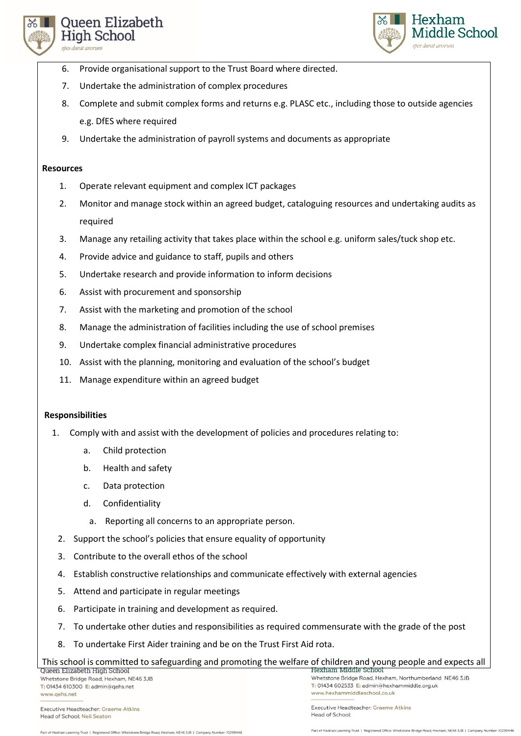



- 6. Provide organisational support to the Trust Board where directed.
- 7. Undertake the administration of complex procedures
- 8. Complete and submit complex forms and returns e.g. PLASC etc., including those to outside agencies e.g. DfES where required
- 9. Undertake the administration of payroll systems and documents as appropriate

#### **Resources**

- 1. Operate relevant equipment and complex ICT packages
- 2. Monitor and manage stock within an agreed budget, cataloguing resources and undertaking audits as required
- 3. Manage any retailing activity that takes place within the school e.g. uniform sales/tuck shop etc.
- 4. Provide advice and guidance to staff, pupils and others
- 5. Undertake research and provide information to inform decisions
- 6. Assist with procurement and sponsorship
- 7. Assist with the marketing and promotion of the school
- 8. Manage the administration of facilities including the use of school premises
- 9. Undertake complex financial administrative procedures
- 10. Assist with the planning, monitoring and evaluation of the school's budget
- 11. Manage expenditure within an agreed budget

# **Responsibilities**

- 1. Comply with and assist with the development of policies and procedures relating to:
	- a. Child protection
	- b. Health and safety
	- c. Data protection
	- d. Confidentiality
		- a. Reporting all concerns to an appropriate person.
	- 2. Support the school's policies that ensure equality of opportunity
	- 3. Contribute to the overall ethos of the school
	- 4. Establish constructive relationships and communicate effectively with external agencies
	- 5. Attend and participate in regular meetings
	- 6. Participate in training and development as required.
	- 7. To undertake other duties and responsibilities as required commensurate with the grade of the post
	- 8. To undertake First Aider training and be on the Trust First Aid rota.

# This school is committed to safeguarding and promoting the welfare of children and young people and expects all

Whetstone Bridge Road, Hexham, NE46 3JB T: 01434 610300 E: admin@qehs.net www.qehs.net

Executive Headteacher: Graeme Atkins Head of School: Neil Seaton

Executive Headteacher: Graeme Atkins Head of School:

Part of Hadrian Learning Trust | Registered Office: Whet ne Bridge Road, Hexham, NE46 3JB | Con r: 10299446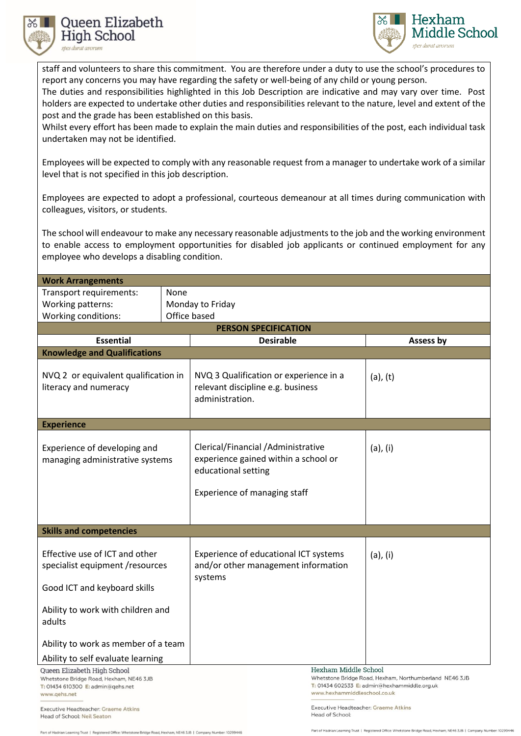



staff and volunteers to share this commitment. You are therefore under a duty to use the school's procedures to report any concerns you may have regarding the safety or well-being of any child or young person.

The duties and responsibilities highlighted in this Job Description are indicative and may vary over time. Post holders are expected to undertake other duties and responsibilities relevant to the nature, level and extent of the post and the grade has been established on this basis.

Whilst every effort has been made to explain the main duties and responsibilities of the post, each individual task undertaken may not be identified.

Employees will be expected to comply with any reasonable request from a manager to undertake work of a similar level that is not specified in this job description.

Employees are expected to adopt a professional, courteous demeanour at all times during communication with colleagues, visitors, or students.

The school will endeavour to make any necessary reasonable adjustments to the job and the working environment to enable access to employment opportunities for disabled job applicants or continued employment for any employee who develops a disabling condition.

| <b>Work Arrangements</b>                                               |              |                                                                                                   |                                                        |  |  |  |
|------------------------------------------------------------------------|--------------|---------------------------------------------------------------------------------------------------|--------------------------------------------------------|--|--|--|
| Transport requirements:                                                | None         |                                                                                                   |                                                        |  |  |  |
| Working patterns:                                                      |              | Monday to Friday                                                                                  |                                                        |  |  |  |
| Working conditions:                                                    | Office based |                                                                                                   |                                                        |  |  |  |
| <b>PERSON SPECIFICATION</b>                                            |              |                                                                                                   |                                                        |  |  |  |
| <b>Essential</b>                                                       |              | <b>Desirable</b>                                                                                  | Assess by                                              |  |  |  |
| <b>Knowledge and Qualifications</b>                                    |              |                                                                                                   |                                                        |  |  |  |
| NVQ 2 or equivalent qualification in<br>literacy and numeracy          |              | NVQ 3 Qualification or experience in a<br>relevant discipline e.g. business<br>administration.    | $(a)$ , $(t)$                                          |  |  |  |
| <b>Experience</b>                                                      |              |                                                                                                   |                                                        |  |  |  |
| Experience of developing and<br>managing administrative systems        |              | Clerical/Financial /Administrative<br>experience gained within a school or<br>educational setting | $(a)$ , $(i)$                                          |  |  |  |
|                                                                        |              | Experience of managing staff                                                                      |                                                        |  |  |  |
|                                                                        |              |                                                                                                   |                                                        |  |  |  |
|                                                                        |              |                                                                                                   |                                                        |  |  |  |
| <b>Skills and competencies</b>                                         |              |                                                                                                   |                                                        |  |  |  |
|                                                                        |              |                                                                                                   |                                                        |  |  |  |
| Effective use of ICT and other                                         |              | Experience of educational ICT systems                                                             | $(a)$ , $(i)$                                          |  |  |  |
| specialist equipment /resources                                        |              | and/or other management information                                                               |                                                        |  |  |  |
| Good ICT and keyboard skills                                           |              | systems                                                                                           |                                                        |  |  |  |
| Ability to work with children and<br>adults                            |              |                                                                                                   |                                                        |  |  |  |
| Ability to work as member of a team                                    |              |                                                                                                   |                                                        |  |  |  |
| Ability to self evaluate learning                                      |              |                                                                                                   |                                                        |  |  |  |
| Queen Elizabeth High School<br>Whetstone Bridge Road, Hexham, NE46 3JB |              | Hexham Middle School                                                                              | Whetstone Bridge Road, Hexham, Northumberland NE46 3JB |  |  |  |
| T: 01434 610300 E: admin@qehs.net<br>www.qehs.net                      |              | T: 01434 602533 E: admin@hexhammiddle.org.uk<br>www.hexhammiddleschool.co.uk                      |                                                        |  |  |  |
| Expanding Hopelbooksey Croppe Atlice                                   |              | Executive Headteacher: Graeme Atkins                                                              |                                                        |  |  |  |

Executive Headteacher: Graeme Atkins Head of School: Neil Seaton art of Hadrian Learning Trust | Registered Office: Whetst

Road, Hexham, NE46 3JB | Com

Head of School: